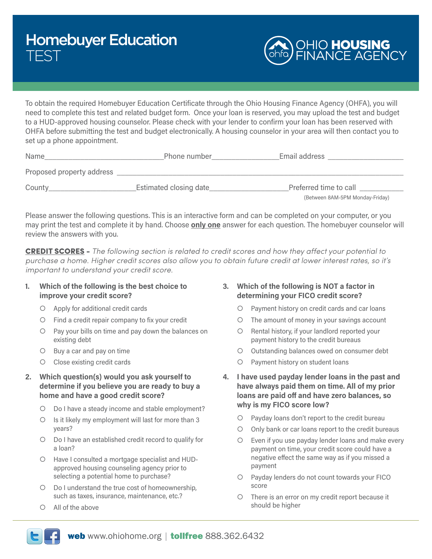

To obtain the required Homebuyer Education Certificate through the Ohio Housing Finance Agency (OHFA), you will need to complete this test and related budget form. Once your loan is reserved, you may upload the test and budget to a HUD-approved housing counselor. Please check with your lender to confirm your loan has been reserved with OHFA before submitting the test and budget electronically. A housing counselor in your area will then contact you to set up a phone appointment.

| Name                      | Phone number           | Email address                                             |
|---------------------------|------------------------|-----------------------------------------------------------|
| Proposed property address |                        |                                                           |
| County                    | Estimated closing date | Preferred time to call<br>(Between 8AM-5PM Monday-Friday) |

Please answer the following questions. This is an interactive form and can be completed on your computer, or you may print the test and complete it by hand. Choose **only one** answer for each question. The homebuyer counselor will review the answers with you.

CREDIT SCORES - *The following section is related to credit scores and how they affect your potential to purchase a home. Higher credit scores also allow you to obtain future credit at lower interest rates, so it's important to understand your credit score.*

## **1. Which of the following is the best choice to improve your credit score?**

- $\circ$  Apply for additional credit cards
- ${\circ}$  Find a credit repair company to fix your credit
- { Pay your bills on time and pay down the balances on existing debt
- $O$  Buy a car and pay on time
- { Close existing credit cards
- **2. Which question(s) would you ask yourself to determine if you believe you are ready to buy a home and have a good credit score?**
	- { Do I have a steady income and stable employment?
	- { Is it likely my employment will last for more than 3 years?
	- { Do I have an established credit record to qualify for a loan?
	- { Have I consulted a mortgage specialist and HUDapproved housing counseling agency prior to selecting a potential home to purchase?
	- { Do I understand the true cost of homeownership, such as taxes, insurance, maintenance, etc.?
	- $\circ$  All of the above

# **3. Which of the following is NOT a factor in determining your FICO credit score?**

- { Payment history on credit cards and car loans
- { The amount of money in your savings account
- { Rental history, if your landlord reported your payment history to the credit bureaus
- O Outstanding balances owed on consumer debt
- { Payment history on student loans
- **4. I have used payday lender loans in the past and have always paid them on time. All of my prior loans are paid off and have zero balances, so why is my FICO score low?**
	- { Payday loans don't report to the credit bureau
	- { Only bank or car loans report to the credit bureaus
	- $\circ$  Even if you use payday lender loans and make every payment on time, your credit score could have a negative effect the same way as if you missed a payment
	- { Payday lenders do not count towards your FICO score
	- { There is an error on my credit report because it should be higher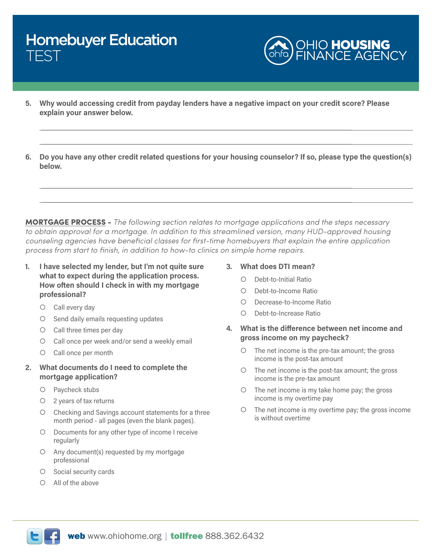

**5. Why would accessing credit from payday lenders have a negative impact on your credit score? Please explain your answer below.**

 $\_$  , and the set of the set of the set of the set of the set of the set of the set of the set of the set of the set of the set of the set of the set of the set of the set of the set of the set of the set of the set of th

\_\_\_\_\_\_\_\_\_\_\_\_\_\_\_\_\_\_\_\_\_\_\_\_\_\_\_\_\_\_\_\_\_\_\_\_\_\_\_\_\_\_\_\_\_\_\_\_\_\_\_\_\_\_\_\_\_\_\_\_\_\_\_\_\_\_\_\_\_\_\_\_\_\_\_\_\_\_

\_\_\_\_\_\_\_\_\_\_\_\_\_\_\_\_\_\_\_\_\_\_\_\_\_\_\_\_\_\_\_\_\_\_\_\_\_\_\_\_\_\_\_\_\_\_\_\_\_\_\_\_\_\_\_\_\_\_\_\_\_\_\_\_\_\_\_\_\_\_\_\_\_\_\_\_\_\_  $\_$  , and the set of the set of the set of the set of the set of the set of the set of the set of the set of the set of the set of the set of the set of the set of the set of the set of the set of the set of the set of th

**6. Do you have any other credit related questions for your housing counselor? If so, please type the question(s) below.**

MORTGAGE PROCESS - *The following section relates to mortgage applications and the steps necessary to obtain approval for a mortgage. In addition to this streamlined version, many HUD-approved housing counseling agencies have beneficial classes for first-time homebuyers that explain the entire application process from start to finish, in addition to how-to clinics on simple home repairs.*

- **1. I have selected my lender, but I'm not quite sure what to expect during the application process. How often should I check in with my mortgage professional?**
	- ${\circ}$  Call every day
	- { Send daily emails requesting updates
	- { Call three times per day
	- { Call once per week and/or send a weekly email
	- { Call once per month
- **2. What documents do I need to complete the mortgage application?**
	- { Paycheck stubs
	- { 2 years of tax returns
	- { Checking and Savings account statements for a three month period - all pages (even the blank pages).
	- { Documents for any other type of income I receive regularly
	- $\circ$  Any document(s) requested by my mortgage professional
	- $\circ$  Social security cards
	- $\circ$  All of the above

### **3. What does DTI mean?**

- { Debt-to-Initial Ratio
- { Debt-to-Income Ratio
- { Decrease-to-Income Ratio
- { Debt-to-Increase Ratio
- **4. What is the difference between net income and gross income on my paycheck?**
	- ${\circ}$  The net income is the pre-tax amount; the gross income is the post-tax amount
	- ${\circ}$  The net income is the post-tax amount; the gross income is the pre-tax amount
	- ${\circ}$  The net income is my take home pay; the gross income is my overtime pay
	- ${\circ}$  The net income is my overtime pay; the gross income is without overtime

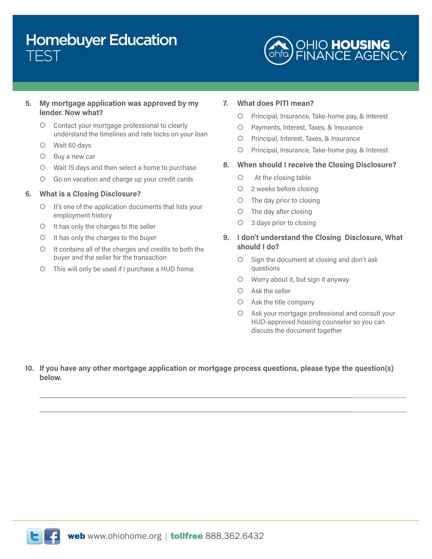

## **5. My mortgage application was approved by my lender. Now what?**

- { Contact your mortgage professional to clearly understand the timelines and rate locks on your loan
- { Wait 60 days
- $O$  Buy a new car
- { Wait 15 days and then select a home to purchase
- { Go on vacation and charge up your credit cards

### **6. What is a Closing Disclosure?**

- { It's one of the application documents that lists your employment history
- $\circ$  It has only the charges to the seller
- $\circ$  It has only the charges to the buyer
- { It contains all of the charges and credits to both the buyer and the seller for the transaction
- { This will only be used if I purchase a HUD home.

#### **7. What does PITI mean?**

- { Principal, Insurance, Take-home pay, & Interest
- { Payments, Interest, Taxes, & Insurance
- { Principal, Interest, Taxes, & Insurance
- { Principal, Insurance, Take-home pay, & Interest

### **8. When should I receive the Closing Disclosure?**

- $\circ$  At the closing table
- { 2 weeks before closing
- { The day prior to closing
- ${\circ}$  The day after closing
- { 3 days prior to closing
- **9. I don't understand the Closing Disclosure, What should I do?**
	- { Sign the document at closing and don't ask questions
	- $\circ$  Worry about it, but sign it anyway
	- { Ask the seller
	- { Ask the title company
	- { Ask your mortgage professional and consult your HUD-approved housing counselor so you can discuss the document together
- **10. If you have any other mortgage application or mortgage process questions, please type the question(s) below.**

 $\_$  , and the set of the set of the set of the set of the set of the set of the set of the set of the set of the set of the set of the set of the set of the set of the set of the set of the set of the set of the set of th \_\_\_\_\_\_\_\_\_\_\_\_\_\_\_\_\_\_\_\_\_\_\_\_\_\_\_\_\_\_\_\_\_\_\_\_\_\_\_\_\_\_\_\_\_\_\_\_\_\_\_\_\_\_\_\_\_\_\_\_\_\_\_\_\_\_\_\_\_\_\_\_\_\_\_\_\_\_

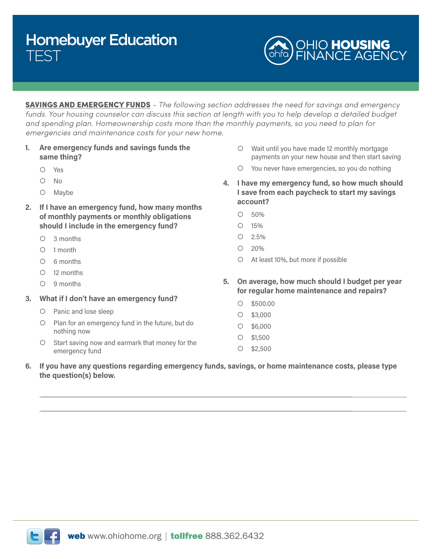

SAVINGS AND EMERGENCY FUNDS *- The following section addresses the need for savings and emergency*  funds. Your housing counselor can discuss this section at length with you to help develop a detailed budget *and spending plan. Homeownership costs more than the monthly payments, so you need to plan for emergencies and maintenance costs for your new home.*

- **1. Are emergency funds and savings funds the same thing?**
	- { Yes
	- $O$  No
	- { Maybe
- **2. If I have an emergency fund, how many months of monthly payments or monthly obligations should I include in the emergency fund?**
	- $O$  3 months
	- $O$  1 month
	- { 6 months
	- { 12 months
	- $O$  9 months
- **3. What if I don't have an emergency fund?**
	- { Panic and lose sleep
	- { Plan for an emergency fund in the future, but do nothing now
	- { Start saving now and earmark that money for the emergency fund
- $\circ$  Wait until you have made 12 monthly mortgage payments on your new house and then start saving
- { You never have emergencies, so you do nothing
- **4. I have my emergency fund, so how much should I save from each paycheck to start my savings account?**
	- ${\circ}$  50%
	- ${\circ}$  15%
	- ${\circ}$  2.5%
	- $O$  20%
	- { At least 10%, but more if possible
- **5. On average, how much should I budget per year for regular home maintenance and repairs?**
	- ${\circ}$  \$500.00
	- ${\circ}$  \$3,000
	- ${\circ}$  \$6,000
	- ${\circ}$  \$1.500
	- ${\circ}$  \$2,500
- **6. If you have any questions regarding emergency funds, savings, or home maintenance costs, please type the question(s) below.**

 $\_$  , and the set of the set of the set of the set of the set of the set of the set of the set of the set of the set of the set of the set of the set of the set of the set of the set of the set of the set of the set of th \_\_\_\_\_\_\_\_\_\_\_\_\_\_\_\_\_\_\_\_\_\_\_\_\_\_\_\_\_\_\_\_\_\_\_\_\_\_\_\_\_\_\_\_\_\_\_\_\_\_\_\_\_\_\_\_\_\_\_\_\_\_\_\_\_\_\_\_\_\_\_\_\_\_\_\_\_\_

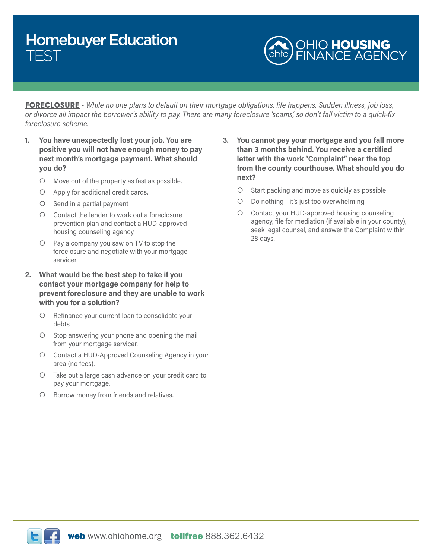

FORECLOSURE - *While no one plans to default on their mortgage obligations, life happens. Sudden illness, job loss, or divorce all impact the borrower's ability to pay. There are many foreclosure 'scams', so don't fall victim to a quick-fix foreclosure scheme.*

- **1. You have unexpectedly lost your job. You are positive you will not have enough money to pay next month's mortgage payment. What should you do?**
	- { Move out of the property as fast as possible.
	- $\circ$  Apply for additional credit cards.
	- $\circ$  Send in a partial payment
	- { Contact the lender to work out a foreclosure prevention plan and contact a HUD-approved housing counseling agency.
	- $\circ$  Pay a company you saw on TV to stop the foreclosure and negotiate with your mortgage servicer.
- **2. What would be the best step to take if you contact your mortgage company for help to prevent foreclosure and they are unable to work with you for a solution?**
	- { Refinance your current loan to consolidate your debts
	- $\circ$  Stop answering your phone and opening the mail from your mortgage servicer.
	- { Contact a HUD-Approved Counseling Agency in your area (no fees).
	- { Take out a large cash advance on your credit card to pay your mortgage.
	- { Borrow money from friends and relatives.
- **3. You cannot pay your mortgage and you fall more than 3 months behind. You receive a certified letter with the work "Complaint" near the top from the county courthouse. What should you do next?**
	- { Start packing and move as quickly as possible
	- { Do nothing it's just too overwhelming
	- { Contact your HUD-approved housing counseling agency, file for mediation (if available in your county), seek legal counsel, and answer the Complaint within 28 days.